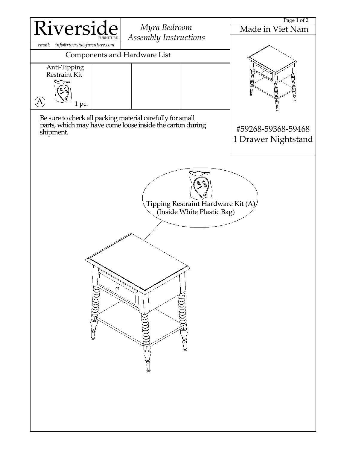